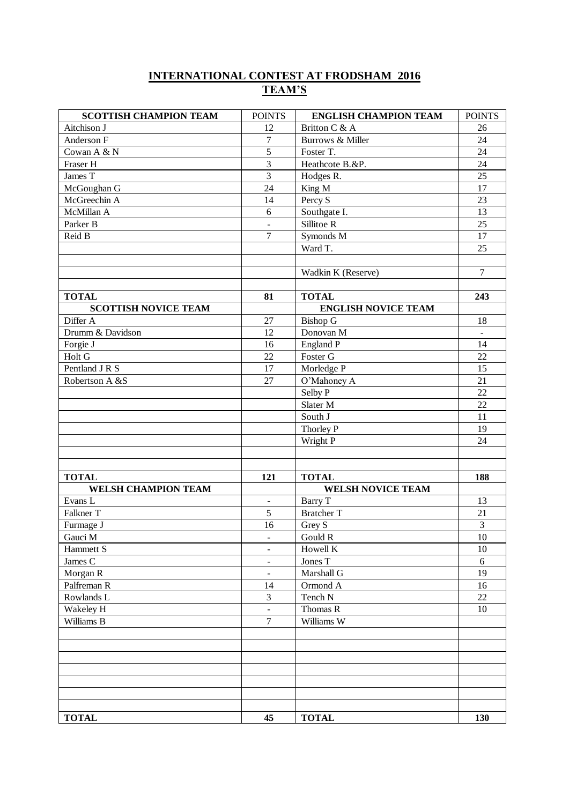## **INTERNATIONAL CONTEST AT FRODSHAM 2016 TEAM'S**

| <b>SCOTTISH CHAMPION TEAM</b> | <b>POINTS</b>                | <b>ENGLISH CHAMPION TEAM</b> | <b>POINTS</b>  |
|-------------------------------|------------------------------|------------------------------|----------------|
| Aitchison J                   | 12                           | Britton C & A                | 26             |
| Anderson F                    | $\overline{7}$               | Burrows & Miller             | 24             |
| Cowan A & N                   | 5                            | Foster T.                    | 24             |
| Fraser H                      | $\overline{\mathbf{3}}$      | Heathcote B.&P.              | 24             |
| James T                       | 3                            | Hodges R.                    | 25             |
| McGoughan G                   | 24                           | King M                       | 17             |
| McGreechin A                  | 14                           | Percy $\overline{S}$         | 23             |
| McMillan A                    | 6                            | Southgate I.                 | 13             |
| Parker B                      | $\overline{a}$               | Sillitoe R                   | 25             |
| Reid B                        | 7                            | Symonds M                    | 17             |
|                               |                              | Ward T.                      | 25             |
|                               |                              |                              |                |
|                               |                              | Wadkin K (Reserve)           | $\overline{7}$ |
|                               |                              |                              |                |
| <b>TOTAL</b>                  | 81                           | <b>TOTAL</b>                 | 243            |
| <b>SCOTTISH NOVICE TEAM</b>   |                              | <b>ENGLISH NOVICE TEAM</b>   |                |
| Differ A                      | 27                           | <b>Bishop G</b>              | 18             |
| Drumm & Davidson              | 12                           | Donovan M                    | $\blacksquare$ |
| Forgie J                      | 16                           | England P                    | 14             |
| Holt G                        | 22                           | Foster G                     | 22             |
| Pentland J R S                | 17                           | Morledge P                   | 15             |
| Robertson A &S                | 27                           | O'Mahoney A                  | 21             |
|                               |                              | Selby P                      | 22             |
|                               |                              | Slater M                     | 22             |
|                               |                              | South J                      | 11             |
|                               |                              | Thorley P                    | 19             |
|                               |                              | Wright P                     | 24             |
|                               |                              |                              |                |
|                               |                              |                              |                |
| <b>TOTAL</b>                  | 121                          | <b>TOTAL</b>                 | 188            |
| WELSH CHAMPION TEAM           |                              | <b>WELSH NOVICE TEAM</b>     |                |
| Evans L                       | $\blacksquare$               | Barry T                      | 13             |
| Falkner T                     | $\overline{5}$               | <b>Bratcher T</b>            | 21             |
| Furmage J                     | 16                           | Grey S                       | 3              |
| Gauci M                       | $\overline{\phantom{a}}$     | Gould R                      | $10\,$         |
| Hammett S                     | $\blacksquare$               | Howell K                     | 10             |
| James C                       | $\qquad \qquad \blacksquare$ | Jones T                      | 6              |
| Morgan R                      | $\blacksquare$               | Marshall G                   | 19             |
| Palfreman R                   | 14                           | Ormond A                     | 16             |
| Rowlands L                    | 3                            | Tench N                      | 22             |
| Wakeley H                     | $\blacksquare$               | Thomas R                     | 10             |
| Williams B                    | $\overline{7}$               | Williams W                   |                |
|                               |                              |                              |                |
|                               |                              |                              |                |
|                               |                              |                              |                |
|                               |                              |                              |                |
|                               |                              |                              |                |
|                               |                              |                              |                |
| <b>TOTAL</b>                  | 45                           | <b>TOTAL</b>                 | 130            |